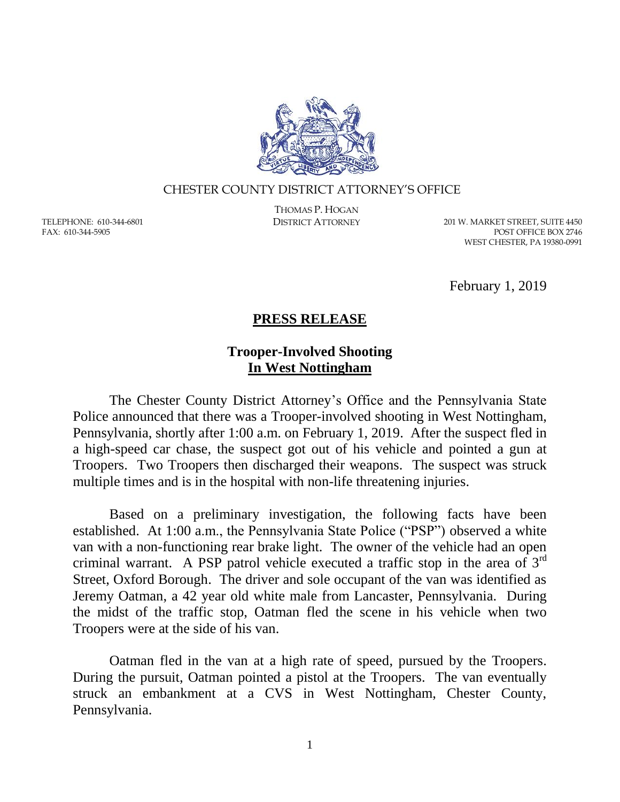

## CHESTER COUNTY DISTRICT ATTORNEY'S OFFICE

TELEPHONE: 610-344-6801 FAX: 610-344-5905

THOMAS P. HOGAN

DISTRICT ATTORNEY 201 W. MARKET STREET, SUITE 4450 POST OFFICE BOX 2746 WEST CHESTER, PA 19380-0991

February 1, 2019

## **PRESS RELEASE**

## **Trooper-Involved Shooting In West Nottingham**

The Chester County District Attorney's Office and the Pennsylvania State Police announced that there was a Trooper-involved shooting in West Nottingham, Pennsylvania, shortly after 1:00 a.m. on February 1, 2019. After the suspect fled in a high-speed car chase, the suspect got out of his vehicle and pointed a gun at Troopers. Two Troopers then discharged their weapons. The suspect was struck multiple times and is in the hospital with non-life threatening injuries.

Based on a preliminary investigation, the following facts have been established. At 1:00 a.m., the Pennsylvania State Police ("PSP") observed a white van with a non-functioning rear brake light. The owner of the vehicle had an open criminal warrant. A PSP patrol vehicle executed a traffic stop in the area of 3rd Street, Oxford Borough. The driver and sole occupant of the van was identified as Jeremy Oatman, a 42 year old white male from Lancaster, Pennsylvania. During the midst of the traffic stop, Oatman fled the scene in his vehicle when two Troopers were at the side of his van.

Oatman fled in the van at a high rate of speed, pursued by the Troopers. During the pursuit, Oatman pointed a pistol at the Troopers. The van eventually struck an embankment at a CVS in West Nottingham, Chester County, Pennsylvania.